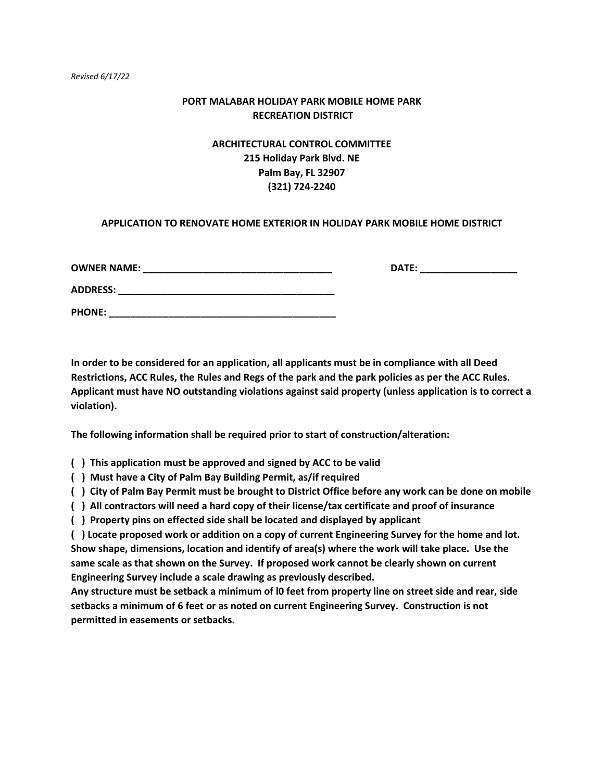### **PORT MALABAR HOLIDAY PARK MOBILE HOME PARK RECREATION DISTRICT**

# **ARCHITECTURAL CONTROL COMMITTEE 215 Holiday Park Blvd. NE Palm Bay, FL 32907 (321) 724-2240**

### **APPLICATION TO RENOVATE HOME EXTERIOR IN HOLIDAY PARK MOBILE HOME DISTRICT**

| <b>OWNER NAME:</b> | <b>DATE:</b> |  |
|--------------------|--------------|--|
| <b>ADDRESS:</b>    |              |  |
| <b>PHONE:</b>      |              |  |

**In order to be considered for an application, all applicants must be in compliance with all Deed Restrictions, ACC Rules, the Rules and Regs of the park and the park policies as per the ACC Rules. Applicant must have NO outstanding violations against said property (unless application is to correct a violation).**

**The following information shall be required prior to start of construction/alteration:**

**( ) This application must be approved and signed by ACC to be valid**

**( ) Must have a City of Palm Bay Building Permit, as/if required**

**( ) City of Palm Bay Permit must be brought to District Office before any work can be done on mobile**

**( ) All contractors will need a hard copy of their license/tax certificate and proof of insurance**

**( ) Property pins on effected side shall be located and displayed by applicant**

**( ) Locate proposed work or addition on a copy of current Engineering Survey for the home and lot. Show shape, dimensions, location and identify of area(s) where the work will take place. Use the same scale as that shown on the Survey. If proposed work cannot be clearly shown on current Engineering Survey include a scale drawing as previously described.**

**Any structure must be setback a minimum of l0 feet from property line on street side and rear, side setbacks a minimum of 6 feet or as noted on current Engineering Survey. Construction is not permitted in easements or setbacks.**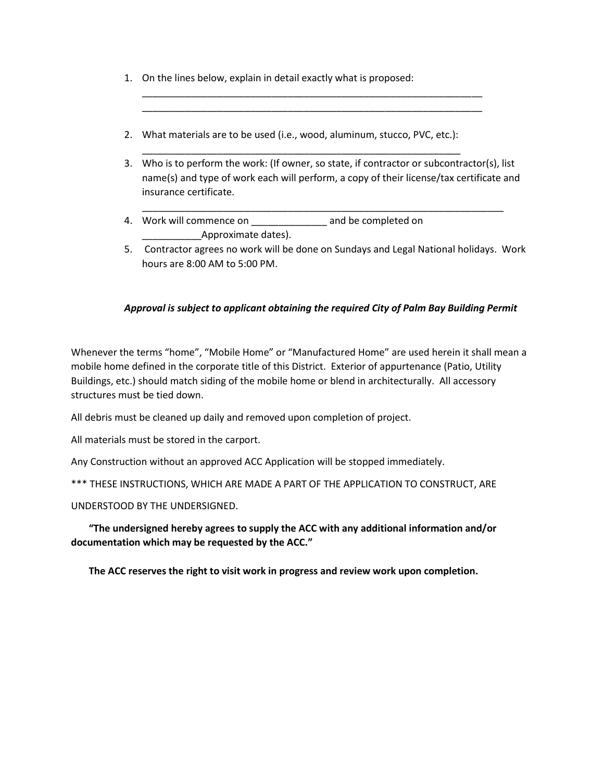- 1. On the lines below, explain in detail exactly what is proposed:
- 2. What materials are to be used (i.e., wood, aluminum, stucco, PVC, etc.):

\_\_\_\_\_\_\_\_\_\_\_\_\_\_\_\_\_\_\_\_\_\_\_\_\_\_\_\_\_\_\_\_\_\_\_\_\_\_\_\_\_\_\_\_\_\_\_\_\_\_\_\_\_\_\_\_\_\_\_

3. Who is to perform the work: (If owner, so state, if contractor or subcontractor(s), list name(s) and type of work each will perform, a copy of their license/tax certificate and insurance certificate.

\_\_\_\_\_\_\_\_\_\_\_\_\_\_\_\_\_\_\_\_\_\_\_\_\_\_\_\_\_\_\_\_\_\_\_\_\_\_\_\_\_\_\_\_\_\_\_\_\_\_\_\_\_\_\_\_\_\_\_\_\_\_\_\_\_\_\_

\_\_\_\_\_\_\_\_\_\_\_\_\_\_\_\_\_\_\_\_\_\_\_\_\_\_\_\_\_\_\_\_\_\_\_\_\_\_\_\_\_\_\_\_\_\_\_\_\_\_\_\_\_\_\_\_\_\_\_\_\_\_\_ \_\_\_\_\_\_\_\_\_\_\_\_\_\_\_\_\_\_\_\_\_\_\_\_\_\_\_\_\_\_\_\_\_\_\_\_\_\_\_\_\_\_\_\_\_\_\_\_\_\_\_\_\_\_\_\_\_\_\_\_\_\_\_

- 4. Work will commence on \_\_\_\_\_\_\_\_\_\_\_\_\_\_ and be completed on Approximate dates).
- 5. Contractor agrees no work will be done on Sundays and Legal National holidays. Work hours are 8:00 AM to 5:00 PM.

## *Approval is subject to applicant obtaining the required City of Palm Bay Building Permit*

Whenever the terms "home", "Mobile Home" or "Manufactured Home" are used herein it shall mean a mobile home defined in the corporate title of this District. Exterior of appurtenance (Patio, Utility Buildings, etc.) should match siding of the mobile home or blend in architecturally. All accessory structures must be tied down.

All debris must be cleaned up daily and removed upon completion of project.

All materials must be stored in the carport.

Any Construction without an approved ACC Application will be stopped immediately.

\*\*\* THESE INSTRUCTIONS, WHICH ARE MADE A PART OF THE APPLICATION TO CONSTRUCT, ARE

UNDERSTOOD BY THE UNDERSIGNED.

**"The undersigned hereby agrees to supply the ACC with any additional information and/or documentation which may be requested by the ACC."**

**The ACC reserves the right to visit work in progress and review work upon completion.**